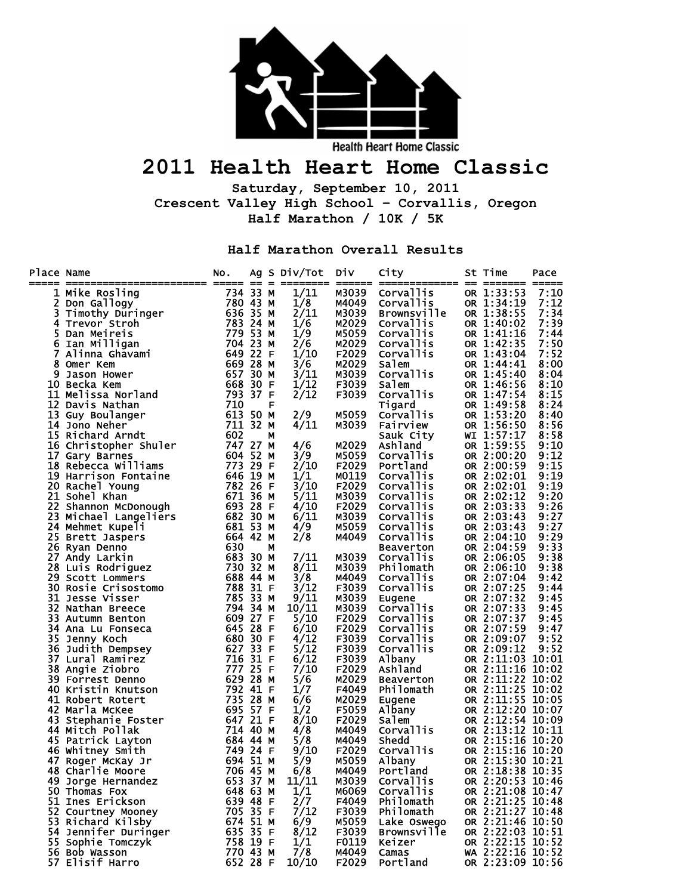

## **2011 Health Heart Home Classic**

**Saturday, September 10, 2011 Crescent Valley High School – Corvallis, Oregon Half Marathon / 10K / 5K** 

**Half Marathon Overall Results** 

| Place Name |                                                 | NO.                                     |      |   | Ag S Div/Tot<br>--------- | DIV            | City                        | -- | St Time<br>======= =====             | Pace         |
|------------|-------------------------------------------------|-----------------------------------------|------|---|---------------------------|----------------|-----------------------------|----|--------------------------------------|--------------|
| ı          | Mike Rosling                                    | 734 33 M                                |      |   | 1/11                      | M3039          | <b>Corvallis</b>            |    | OR 1:33:53                           | 7:10         |
| 2          | Don Gallogy                                     |                                         |      |   | 1/8                       | M4049          | Corvallis                   |    | OR 1:34:19                           | 7:12         |
| 3          | Don Garrogy<br>Timothy Duringer<br>Trevor Stroh |                                         |      |   | 2/11                      | M3039          | <b>Brownsville</b>          |    | OR 1:38:55                           | 7:34         |
| 4          | Trevor Stroh                                    | 780 43 M<br>636 35 M<br><u>783 24</u> M |      |   | 1/6                       | M2029          | Corvallis                   |    | OR 1:40:02                           | 7:39         |
| 5          | Dan Meireis                                     | 779                                     | 53 M |   | 1/9                       | M5059          | Corvallis                   |    | OR 1:41:16                           | 7:44         |
| 6          | Ian Milligan                                    | 704 23 M                                |      |   | 2/6                       | M2029          | Corvallis                   |    | OR 1:42:35                           | 7:50         |
| 7          | Alinna Ghavami                                  | 649                                     | 22 F |   | 1/10                      | F2029          | <b>Corvallis</b>            |    | OR 1:43:04                           | 7:52         |
| 8          | Omer Kem                                        | 669                                     | 28 M |   | 3/6                       | M2029          | Salem                       |    | OR 1:44:41                           | 8:00         |
| 9          | Jason Hower                                     | 657                                     | 30 M |   | 3/11                      | M3039          | Corvallis                   |    | OR 1:45:40                           | 8:04         |
| 10         | Becka Kem                                       | 668                                     | 30 F |   | 1/12                      | F3039          | Salem                       |    | OR 1:46:56                           | 8:10         |
| 11         | Melissa Norland                                 | 793 37 F                                |      |   | 2/12                      | F3039          | Corvallis                   |    | OR 1:47:54                           | 8:15         |
| 12         | Davis Nathan                                    | 710                                     |      | F |                           |                | Tigard                      |    | OR 1:49:58                           | 8:24         |
| 13         | Guy Boulanger                                   | 613                                     | 50 M |   | 2/9                       | M5059          | <b>Corvallis</b>            |    | OR 1:53:20                           | 8:40         |
| 14         | Jono Neher                                      | 711 32 M                                |      |   | 4/11                      | M3039          | <b>Fairview</b>             |    | OR 1:56:50                           | 8:56         |
|            | 15 Richard Arndt                                | 602                                     |      | М |                           |                | Sauk City                   |    | WI 1:57:17                           | 8:58         |
|            | 16 Christopher Shuler                           | 747 27 M<br>604                         | 52 M |   | 4/6<br>3/9                | M2029<br>M5059 | Ashland<br><b>Corvallis</b> |    | OR 1:59:55<br>OR 2:00:20             | 9:10<br>9:12 |
| 17         | Gary Barnes                                     | 773 29 F                                |      |   |                           | F2029          | Portland                    |    |                                      | 9:15         |
|            | 18 Rebecca Williams<br>19 Harrison Fontaine     | 646                                     | 19 M |   | 2/10<br>1/1               | M0119          | <b>Corvallis</b>            |    | OR 2:00:59<br>OR 2:02:01             | 9:19         |
|            | 20 Rachel Young                                 | 782 26 F                                |      |   | 3/10                      | F2029          | Corvallis                   |    | OR 2:02:01                           | 9:19         |
|            | 21 Sohel Khan                                   | 671                                     | 36 M |   | 5/11                      | M3039          | <b>Corvallis</b>            |    | OR 2:02:12                           | 9:20         |
| 22         | Shannon McDonough                               | 693                                     | 28 F |   | 4/10                      | F2029          | Corvallis                   |    | OR 2:03:33                           | 9:26         |
| 23         | Michael Langeliers                              | 682                                     | 30 M |   | 6/11                      | M3039          | <b>Corvallis</b>            |    | OR 2:03:43                           | 9:27         |
|            | 24 Mehmet Kupeli                                | 681 53 M                                |      |   | 4/9                       | M5059          | Corvallis                   |    | OR 2:03:43                           | 9:27         |
| 25         | <b>Brett Jaspers</b>                            | 664 42 M                                |      |   | 2/8                       | M4049          | Corvallis                   |    | OR 2:04:10                           | 9:29         |
| 26         | Ryan Denno                                      | 630                                     |      | м |                           |                | <b>Beaverton</b>            |    | OR 2:04:59                           | 9:33         |
| 27         | Andy Larkin                                     | 683                                     | 30 M |   | 7/11                      | M3039          | Corvallis                   |    | OR 2:06:05                           | 9:38         |
|            | 28 Luis Rodriguez                               | 730 32 M                                |      |   | 8/11                      | M3039          | Philomath                   |    | OR 2:06:10                           | 9:38         |
|            | 29 Scott Lommers                                | 688 44 M                                |      |   | 3/8                       | M4049          | Corvallis                   |    | OR 2:07:04                           | 9:42         |
| 30.        | Rosie Crisostomo<br>Jesse Viccor                | 788                                     | 31 F |   | 3/12                      | F3039          | Corvallis                   |    | OR 2:07:25                           | 9:44         |
|            | <b>31 Jesse Visser</b>                          | 785                                     | 33 M |   | 9/11                      | M3039          | Eugene                      |    | OR 2:07:32                           | 9:45         |
| 32         | Nathan Breece                                   | 794 34 M                                |      |   | 10/11                     | M3039          | Corvallis                   |    | OR 2:07:33                           | 9:45         |
| 33.        | Autumn Benton                                   | 609                                     | 27 F |   | 5/10                      | F2029          | Corvallis                   |    | OR 2:07:37                           | 9:45         |
| 34         | Ana Lu Fonseca                                  | 645 28 F                                |      |   | 6/10                      | F2029          | Corvallis                   |    | OR 2:07:59                           | 9:47         |
| 35         | Jenny Koch                                      | 680                                     | 30 F |   | 4/12                      | F3039          | <b>Corvallis</b>            |    | OR 2:09:07                           | 9:52         |
| 36         | Judith Dempsey                                  | 627 33 F                                |      |   | 5/12                      | F3039          | Corvallis                   |    | OR 2:09:12                           | 9:52         |
|            | 37 Lural Ramirez                                | 716                                     | 31 F |   | 6/12                      | F3039          | Albany                      |    | OR 2:11:03                           | 10:01        |
|            | 38 Angie Ziobro                                 | 777 25 F                                |      |   | 7/10                      | F2029          | Ashland                     |    | OR 2:11:16 10:02                     |              |
|            | 39 Forrest Denno                                | 629                                     | 28 M |   | 5/6                       | M2029          | <b>Beaverton</b>            |    | OR 2:11:22                           | 10:02        |
|            | 40 Kristin Knutson                              | 792                                     | 41 F |   | 1/7                       | F4049          | Philomath                   |    | OR 2:11:25 10:02                     |              |
|            | 41 Robert Rotert                                | 735                                     | 28 M |   | 6/6                       | M2029          | Eugene                      |    | OR 2:11:55 10:05                     |              |
| 42         | Marla McKee                                     | 695 57 F<br>647 21 F                    |      |   | 1/2                       | F5059          | Albany                      |    | OR 2:12:20 10:07                     |              |
| 43         | Stephanie Foster                                | 714 40 M                                |      |   | 8/10                      | F2029<br>M4049 | Salem<br>Corvallis          |    | OR 2:12:54 10:09<br>OR 2:13:12 10:11 |              |
|            | 44 Mitch Pollak<br>45 Patrick Layton            | 684 44 M                                |      |   | 4/8<br>5/8                | M4049          | Shedd                       |    | OR 2:15:16 10:20                     |              |
|            | 46 Whitney Smith                                | 749 24 F                                |      |   | 9/10                      | F2029          | Corvallis                   |    | OR 2:15:16 10:20                     |              |
| 47         | Roger McKay Jr                                  | 694 51 M                                |      |   | 5/9                       | M5059          | Albany                      |    | OR 2:15:30 10:21                     |              |
|            | 706 45 M<br>48 Charlie Moore                    |                                         |      |   | 6/8                       | M4049          | Portland                    |    | OR 2:18:38 10:35                     |              |
|            | 49 Jorge Hernandez                              | 653 37 M                                |      |   | 11/11                     | M3039          | Corvallis                   |    | OR 2:20:53 10:46                     |              |
|            | 50 Thomas Fox                                   | 648 63 M                                |      |   | 1/1                       | M6069          | Corvallis                   |    | OR 2:21:08 10:47                     |              |
|            | 51 Ines Erickson                                | 639 48 F                                |      |   | 2/7                       | F4049          | Philomath                   |    | OR 2:21:25 10:48                     |              |
|            | 52 Courtney Mooney                              | 705 35 F                                |      |   | 7/12                      | F3039          | Philomath                   |    | OR 2:21:27 10:48                     |              |
|            | 53 Richard Kilsby                               | 674 51 M                                |      |   | 6/9                       | M5059          | Lake Oswego                 |    | OR 2:21:46 10:50                     |              |
|            | 54 Jennifer Duringer                            | 635 35 F                                |      |   | 8/12                      | F3039          | <b>Brownsville</b>          |    | OR 2:22:03 10:51                     |              |
|            | 55 Sophie Tomczyk                               | 758 19 F                                |      |   | 1/1                       | F0119          | Keizer                      |    | OR 2:22:15 10:52                     |              |
|            | 56 Bob Wasson                                   | 770 43 M                                |      |   | 7/8                       | M4049          | Camas                       |    | WA 2:22:16 10:52                     |              |
|            | 57 Elisif Harro                                 | 652 28 F                                |      |   | 10/10                     | F2029          | Portland                    |    | OR 2:23:09 10:56                     |              |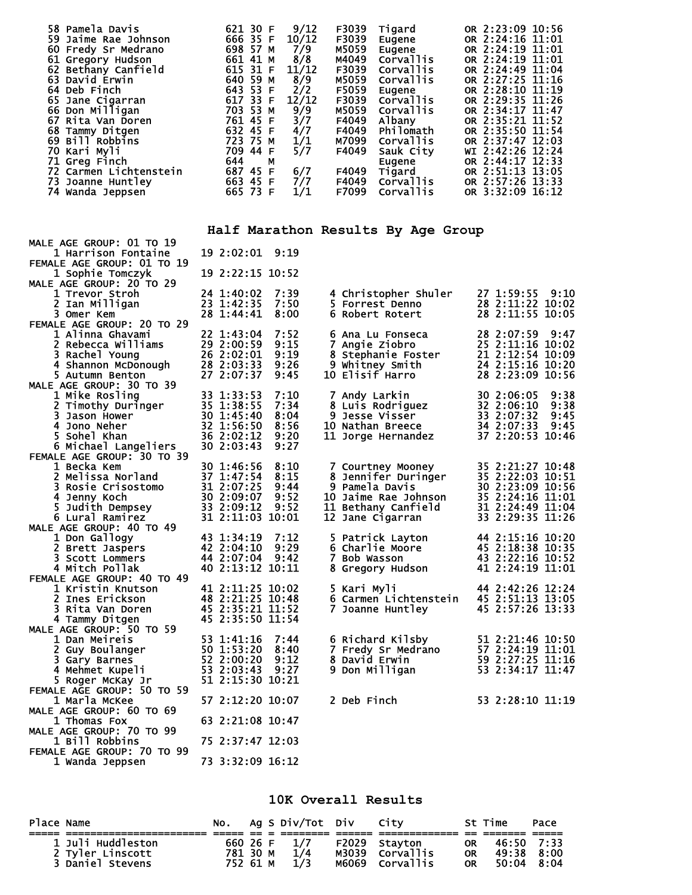| 58 Pamela Davis        | 9/12<br>621 30 F  | F3039<br>Tigard           | OR 2:23:09 10:56 |
|------------------------|-------------------|---------------------------|------------------|
| 59 Jaime Rae Johnson   | 10/12<br>666 35 F | F3039<br>Eugene           | OR 2:24:16 11:01 |
| 60 Fredy Sr Medrano    | 698 57 M<br>7/9   | M5059<br>Eugene           | OR 2:24:19 11:01 |
| 61 Gregory Hudson      | 8/8<br>661 41 M   | M4049<br>Corvallis        | OR 2:24:19 11:01 |
| 62 Bethany Canfield    | 11/12<br>615 31 F | F3039<br>Corvallis        | OR 2:24:49 11:04 |
| 63 David Erwin         | 8/9<br>640 59 M   | M5059<br><b>Corvallis</b> | OR 2:27:25 11:16 |
| 64 Deb Finch           | 643 53 F<br>2/2   | F5059<br>Eugene           | OR 2:28:10 11:19 |
| 65 Jane Cigarran       | 12/12<br>617 33 F | F3039<br><b>Corvallis</b> | OR 2:29:35 11:26 |
| 66 Don Milligan        | 9/9<br>703 53 M   | M5059<br><b>Corvallis</b> | OR 2:34:17 11:47 |
| 67 Rita Van Doren      | 3/7<br>761 45 F   | F4049<br>Albany           | OR 2:35:21 11:52 |
| 68 Tammy Ditgen        | 4/7<br>632 45 F   | Philomath<br>F4049        | OR 2:35:50 11:54 |
| 69 Bill Robbins        | 1/1<br>723 75 M   | M7099<br>Corvallis        | OR 2:37:47 12:03 |
| 70 Kari Myli           | 5/7<br>709 44 F   | F4049<br>Sauk City        | WI 2:42:26 12:24 |
| 71 Greg Finch          | 644<br>М          | Eugene                    | OR 2:44:17 12:33 |
| 72 Carmen Lichtenstein | 687 45 F<br>6/7   | F4049<br>Tigard           | OR 2:51:13 13:05 |
| 73 Joanne Huntley      | 663 45 F<br>7/7   | F4049<br><b>Corvallis</b> | OR 2:57:26 13:33 |
| 74 Wanda Jeppsen       | 1/1<br>665 73 F   | F7099<br>Corvallis        | OR 3:32:09 16:12 |

## **Half Marathon Results By Age Group**

| MALE AGE GROUP: 01 TO 19                                                                                                                                                                                                                                                            |                                                          |              |                                                                                                                                                                                                                   |                  |
|-------------------------------------------------------------------------------------------------------------------------------------------------------------------------------------------------------------------------------------------------------------------------------------|----------------------------------------------------------|--------------|-------------------------------------------------------------------------------------------------------------------------------------------------------------------------------------------------------------------|------------------|
| 1 Harrison Fontaine<br>FEMALE AGE GROUP: 01 TO 19                                                                                                                                                                                                                                   | 19 2:02:01 9:19                                          |              |                                                                                                                                                                                                                   |                  |
| 1 Sophie Tomczyk                                                                                                                                                                                                                                                                    | 19 2:22:15 10:52                                         |              |                                                                                                                                                                                                                   |                  |
| MALE AGE GROUP: 20 TO 29                                                                                                                                                                                                                                                            |                                                          |              |                                                                                                                                                                                                                   |                  |
| 1 Trevor Stroh                                                                                                                                                                                                                                                                      | 24 1:40:02                                               | 7:39         |                                                                                                                                                                                                                   |                  |
| 2 Ian Milligan                                                                                                                                                                                                                                                                      | 23 1:42:35                                               | 7:50         | 4 Christopher Shuler 27 1:59:55 9:10<br>5 Forrest Denno 28 2:11:22 10:02<br>6 Robert Rotert 28 2:11:55 10:05                                                                                                      |                  |
| 3 Omer Kem                                                                                                                                                                                                                                                                          | 28 1:44:41                                               | 8:00         |                                                                                                                                                                                                                   |                  |
| FEMALE AGE GROUP: 20 TO 29                                                                                                                                                                                                                                                          |                                                          |              |                                                                                                                                                                                                                   |                  |
| 1 Alinna Ghavami                                                                                                                                                                                                                                                                    | 22 1:43:04                                               | 7:52         | 6 Ana Lu Fonseca<br>7 Angie Ziobro<br>8 Stephanie Foster<br>8 Whiter Smith<br>24 2:15:16 10:29<br>9 Whiter James<br>10 Flist James<br>10 24 2:15:16 10:20<br>6 Ana Lu Fonseca                                     |                  |
|                                                                                                                                                                                                                                                                                     |                                                          | 9:15         |                                                                                                                                                                                                                   |                  |
| 1 Alinna Ghavami<br>2 Rebecca Williams<br>3 Rachel Young<br>4 Shannon McDonough<br>5 Autumn Benton<br>2 2:03:33<br>5 Autumn Benton<br>27 2:07:37                                                                                                                                    |                                                          | 9:19         |                                                                                                                                                                                                                   |                  |
|                                                                                                                                                                                                                                                                                     |                                                          | 9:26         |                                                                                                                                                                                                                   |                  |
|                                                                                                                                                                                                                                                                                     |                                                          | 9:45         | 10 Elisif Harro                                                                                                                                                                                                   | 28 2:23:09 10:56 |
| MALE AGE GROUP: 30 TO 39<br>1 Mike Rosling<br>2 Timothy Duringer<br>35 1:38:55<br>3 Jason Hower<br>4 Jono Neher<br>5 Sohel Khan<br>5 Sohel Khan<br>5 Michael Langeliers<br>5 Michael Langeliers<br>5 Michael Langeliers<br>5 Michael Langeliers<br>6                                |                                                          |              |                                                                                                                                                                                                                   | 9:38             |
|                                                                                                                                                                                                                                                                                     |                                                          | 7:10<br>7:34 | <b>7 Andy Larkin</b>                                                                                                                                                                                              | 30 2:06:05       |
|                                                                                                                                                                                                                                                                                     |                                                          | 8:04         | 8 Luis Rodriguez<br>9 Jesse Visser<br>10 Nathan Breece<br>11 Jorge Hernandez<br>11 Jorge Hernandez<br>13 2:07:33 9:45<br>14 Jorge Hernandez<br>14 2:07:33 10:46                                                   |                  |
|                                                                                                                                                                                                                                                                                     |                                                          | 8:56         |                                                                                                                                                                                                                   |                  |
|                                                                                                                                                                                                                                                                                     |                                                          | 9:20         |                                                                                                                                                                                                                   |                  |
|                                                                                                                                                                                                                                                                                     |                                                          | 9:27         |                                                                                                                                                                                                                   |                  |
| FEMALE AGE GROUP: 30 TO 39<br>FEMALE AGE GROUP: 30 10 30 1:46:56<br>1 Becka Kem<br>2 Melissa Norland<br>3 Rosie Crisostomo<br>4 Jenny Koch<br>5 Judith Dempsey<br>8 2:09:07<br>5 Judith Dempsey<br>8 2:09:07<br>5 Judith Dempsey<br>8 2:09:12<br>8 Lural Ramirez<br>MALE AGE GROUP: |                                                          |              |                                                                                                                                                                                                                   |                  |
|                                                                                                                                                                                                                                                                                     |                                                          | 8:10         | 7 Courtney Mooney<br>8 Jennifer Duringer<br>9 Pamela Davis<br>10 Jaime Rae Johnson<br>10 Jaime Rae Johnson<br>11 Bethany Canfield<br>12 Jane Cigarran<br>13 2:24:49 11:04<br>12 Jane Cigarran<br>13 2:29:35 11:26 |                  |
|                                                                                                                                                                                                                                                                                     |                                                          | 8:15         |                                                                                                                                                                                                                   |                  |
|                                                                                                                                                                                                                                                                                     |                                                          | 9:44         |                                                                                                                                                                                                                   |                  |
|                                                                                                                                                                                                                                                                                     |                                                          | 9:52         |                                                                                                                                                                                                                   |                  |
|                                                                                                                                                                                                                                                                                     |                                                          | 9:52         |                                                                                                                                                                                                                   |                  |
|                                                                                                                                                                                                                                                                                     | 31 2:11:03 10:01                                         |              |                                                                                                                                                                                                                   |                  |
|                                                                                                                                                                                                                                                                                     |                                                          |              |                                                                                                                                                                                                                   |                  |
|                                                                                                                                                                                                                                                                                     |                                                          | 7:12         | 5 Patrick Layton<br>6 Charlie Moore<br>7 Bob Wasson<br>8 Gregory Hudson<br>41 2:24:19 11:01                                                                                                                       |                  |
| 2 Brett Jaspers                                                                                                                                                                                                                                                                     | 42 2:04:10                                               | 9:29         |                                                                                                                                                                                                                   |                  |
| 3 Scott Lommers                                                                                                                                                                                                                                                                     | 44 2:07:04                                               | 9:42         |                                                                                                                                                                                                                   |                  |
| 4 Mitch Pollak                                                                                                                                                                                                                                                                      | 40 2:13:12 10:11                                         |              |                                                                                                                                                                                                                   |                  |
| FEMALE AGE GROUP: 40 TO 49<br>1 Kristin Knutson                                                                                                                                                                                                                                     | 41 2:11:25 10:02                                         |              | 5 Kari Myli                                                                                                                                                                                                       | 44 2:42:26 12:24 |
| 2 Ines Erickson                                                                                                                                                                                                                                                                     |                                                          |              | 6 Carmen Lichtenstein 45 2:51:13 13:05                                                                                                                                                                            |                  |
| 3 Rita Van Doren                                                                                                                                                                                                                                                                    |                                                          |              | 7 Joanne Huntley                                                                                                                                                                                                  | 45 2:57:26 13:33 |
| 4 Tammy Ditgen                                                                                                                                                                                                                                                                      | 48 2:21:25 10:48<br>45 2:35:21 11:52<br>45 2:35:50 11:54 |              |                                                                                                                                                                                                                   |                  |
| MALE AGE GROUP: 50 TO 59<br>2 AGE GROUP: 50 TO 59<br>1 Dan Meireis<br>1 Dan Meiris 50<br>2 Guy Boulanger<br>50 1:53:20<br>3 Gary Barnes 52 2:00:20<br>4 Mehmet Kupeli 53 2:03:43<br>5 Roger McKay 1r                                                                                |                                                          |              |                                                                                                                                                                                                                   |                  |
|                                                                                                                                                                                                                                                                                     |                                                          | - 7 : 44     | 6 Richard Kilsby 51 2:21:46 10:50<br>7 Fredy Sr Medrano 57 2:24:19 11:01<br>8 David Erwin 59 2:27:25 11:16<br>9 Don Milligan 53 2:34:17 11:47                                                                     |                  |
|                                                                                                                                                                                                                                                                                     |                                                          | 8:40         |                                                                                                                                                                                                                   |                  |
|                                                                                                                                                                                                                                                                                     |                                                          | 9:12         |                                                                                                                                                                                                                   |                  |
|                                                                                                                                                                                                                                                                                     |                                                          | 9:27         |                                                                                                                                                                                                                   |                  |
| 5 Roger McKay Jr                                                                                                                                                                                                                                                                    | 51 2:15:30 10:21                                         |              |                                                                                                                                                                                                                   |                  |
| FEMALE AGE GROUP: 50 TO 59                                                                                                                                                                                                                                                          |                                                          |              |                                                                                                                                                                                                                   |                  |
| 1 Marla McKee                                                                                                                                                                                                                                                                       | 57 2:12:20 10:07                                         |              | 2 Deb Finch                                                                                                                                                                                                       | 53 2:28:10 11:19 |
| MALE AGE GROUP: 60 TO 69                                                                                                                                                                                                                                                            |                                                          |              |                                                                                                                                                                                                                   |                  |
| 1 Thomas Fox                                                                                                                                                                                                                                                                        | 63 2:21:08 10:47                                         |              |                                                                                                                                                                                                                   |                  |
| MALE AGE GROUP: 70 TO 99                                                                                                                                                                                                                                                            |                                                          |              |                                                                                                                                                                                                                   |                  |
| 1 Bill Robbins<br>FEMALE AGE GROUP: 70 TO 99                                                                                                                                                                                                                                        | 75 2:37:47 12:03                                         |              |                                                                                                                                                                                                                   |                  |
| 1 Wanda Jeppsen                                                                                                                                                                                                                                                                     | 73 3:32:09 16:12                                         |              |                                                                                                                                                                                                                   |                  |
|                                                                                                                                                                                                                                                                                     |                                                          |              |                                                                                                                                                                                                                   |                  |

**10K Overall Results** 

| Place Name                                                | NO.                              |  | Ag S Div/Tot Div City |                |                                                       |                        | St Time                           | Pace |
|-----------------------------------------------------------|----------------------------------|--|-----------------------|----------------|-------------------------------------------------------|------------------------|-----------------------------------|------|
|                                                           |                                  |  |                       |                |                                                       |                        |                                   |      |
| 1 Juli Huddleston<br>2 Tyler Linscott<br>3 Daniel Stevens | 660 26 F<br>781 30 M<br>752 61 M |  | 1/4<br>1/3            | M3039<br>м6069 | F2029 Stavton<br><b>Corvallis</b><br><b>Corvallis</b> | OR.<br><b>OR</b><br>0R | 46:50 7:33<br>49:38 8:00<br>50:04 | 8:04 |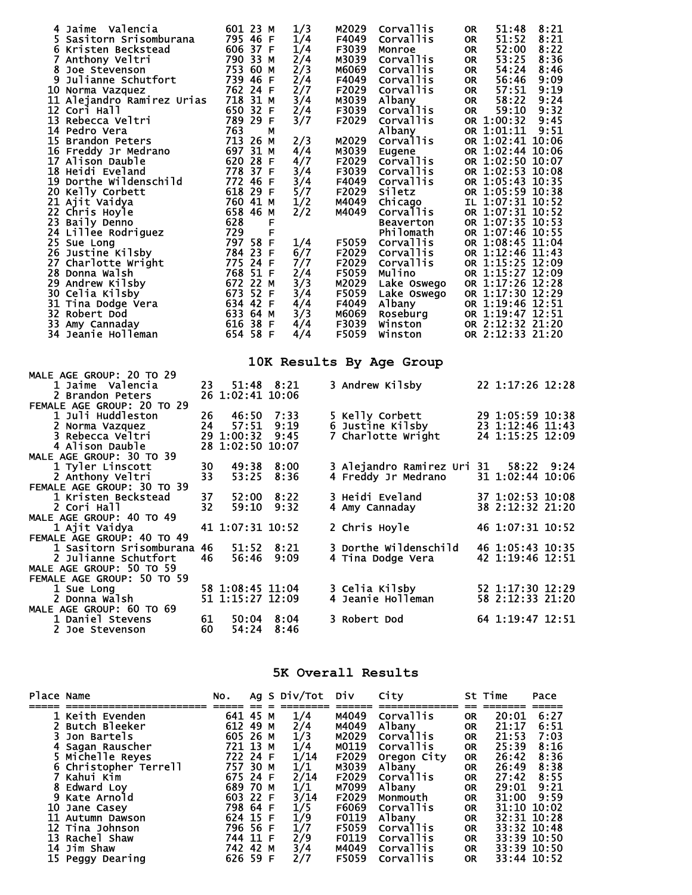| 4 Jaime Valencia<br>5 Sasitorn Srisomburana<br>6 Kristen Beckstead<br>7 Anthony Veltri<br>8 Joe Stevenson<br>9 Julianne Schutfort<br>10 Norma Vazquez<br>11 Alejandro Ramirez Urias 718 31 M<br>12 Cori Hall<br>13 Rebecca Veltri<br>14 Pedro Vera<br>15 Brandon Peters<br>16 Freddy Jr Medrano<br>17 Alison Dauble<br>17 Alison Dauble<br>18 Heidi Eveland<br>19 Dorthe Wildenschild<br>20 Kelly Corbett<br>21 Ajit Vaidya<br>21 Ajit Vaidya<br>22 Chris Hoyle<br>23 Baily Denno<br>23 Baily Denno<br>23 Baily Denno<br>23 Baily Denno<br>24 Agie (1929 F<br>25 Sue Long<br>25<br>26 Justine Kilsby<br>27 Charlotte wright<br>28 Donna Walsh<br>29 Andrew Kilsby<br>30 Celia Kilsby<br>31 Tina Dodge Vera<br>32 Robert Dod<br>32 Robert Dod<br>33 Amy Cannaday<br>34 Jeanie Holleman |          | 601 23 M<br>795 46 F<br>606 37 F<br>790 33 м<br>753 60 м<br>739 46 F<br>762 24 F<br>650 32 F<br>789 29 F<br>763<br>763 м<br>713 26 м<br>697 31 M<br>$620, 28$ F<br>784 23 F<br>775 24 F<br>768 51 F<br>672 22 M<br>673 52 F<br>634 42 F<br>633 64 M<br>616 38 F<br>654 58 F | 1/3<br>1/4<br>1/4<br>2/4<br>2/3<br>2/4<br>2/7<br>3/4<br>2/4<br>3/7<br>2/3<br>4/4<br>4/7<br>3/4<br>3/4<br>5/7<br>1/2<br>2/2<br>1/4<br>6/7<br>7/7<br>2/4<br>3/3<br>3/4<br>4/4<br>3/3<br>4/4<br>4/4 | M2029<br>F4049<br>F3039<br>M3039<br>м6069<br>F2029<br>M3039<br>F3039<br>F2029<br>M2029<br>M3039<br>F2029<br>F3039<br>F4049<br>F2029<br>м4049<br>M4049<br>F5059<br>F2029<br>F2029<br>F5059<br>M2029<br>F5059<br>F4049<br>м6069<br>F3039<br>F5059 | Corvallis<br>Corvallis<br>Monroe<br>Corvallis<br>Corvallis<br>F4049 Corvallis<br>Corvallis<br>Albany<br>Corvallis<br>Corvallis<br>Albany<br>Corvallis<br>Eugene<br>Corvallis<br>Corvallis<br>Corvallis<br><b>Siletz</b><br>Chicago<br>Corvallis<br><b>Beaverton</b><br>Philomath<br>Corvallis<br>Corvallis<br>Corvallis<br>Mulino<br>Lake Oswego<br>Lake Oswego<br>Albany<br>Roseburg<br>Winston<br>Winston | 8:21<br>51:48<br><b>OR</b><br>51:52<br>8:21<br>OR<br>52:00<br>8:22<br><b>OR</b><br>53:25<br>8:36<br><b>OR</b><br>54:24<br><b>OR</b><br>8:46<br>56:46<br>9:09<br><b>OR</b><br>9:19<br>57:51<br><b>OR</b><br>58:22<br>9:24<br><b>OR</b><br>59:10<br>9:32<br><b>OR</b><br>OR 1:00:32<br>9:45<br>OR 1:01:11<br>9:51<br>OR 1:02:41 10:06<br>OR 1:02:44 10:06<br>OR 1:02:50 10:07<br>OR 1:02:53 10:08<br>OR 1:05:43 10:35<br>OR 1:05:59 10:38<br>IL 1:07:31 10:52<br>OR 1:07:31 10:52<br>OR 1:07:35 10:53<br>OR 1:07:46 10:55<br>OR 1:08:45 11:04<br>OR 1:12:46 11:43<br>OR 1:15:25 12:09<br>OR 1:15:27 12:09<br>OR 1:17:26 12:28<br>OR 1:17:30 12:29<br>OR 1:19:46 12:51<br>OR 1:19:47 12:51<br>OR 2:12:32 21:20<br>OR 2:12:33 21:20 |  |
|---------------------------------------------------------------------------------------------------------------------------------------------------------------------------------------------------------------------------------------------------------------------------------------------------------------------------------------------------------------------------------------------------------------------------------------------------------------------------------------------------------------------------------------------------------------------------------------------------------------------------------------------------------------------------------------------------------------------------------------------------------------------------------------|----------|-----------------------------------------------------------------------------------------------------------------------------------------------------------------------------------------------------------------------------------------------------------------------------|--------------------------------------------------------------------------------------------------------------------------------------------------------------------------------------------------|-------------------------------------------------------------------------------------------------------------------------------------------------------------------------------------------------------------------------------------------------|-------------------------------------------------------------------------------------------------------------------------------------------------------------------------------------------------------------------------------------------------------------------------------------------------------------------------------------------------------------------------------------------------------------|---------------------------------------------------------------------------------------------------------------------------------------------------------------------------------------------------------------------------------------------------------------------------------------------------------------------------------------------------------------------------------------------------------------------------------------------------------------------------------------------------------------------------------------------------------------------------------------------------------------------------------------------------------------------------------------------------------------------------------|--|
|                                                                                                                                                                                                                                                                                                                                                                                                                                                                                                                                                                                                                                                                                                                                                                                       |          |                                                                                                                                                                                                                                                                             |                                                                                                                                                                                                  |                                                                                                                                                                                                                                                 | 10K Results By Age Group                                                                                                                                                                                                                                                                                                                                                                                    |                                                                                                                                                                                                                                                                                                                                                                                                                                                                                                                                                                                                                                                                                                                                 |  |
| <b>MALE AGE GROUP: 20 TO 29</b>                                                                                                                                                                                                                                                                                                                                                                                                                                                                                                                                                                                                                                                                                                                                                       |          |                                                                                                                                                                                                                                                                             |                                                                                                                                                                                                  |                                                                                                                                                                                                                                                 |                                                                                                                                                                                                                                                                                                                                                                                                             |                                                                                                                                                                                                                                                                                                                                                                                                                                                                                                                                                                                                                                                                                                                                 |  |
| 1 Jaime Valencia<br>2 Brandon Peters                                                                                                                                                                                                                                                                                                                                                                                                                                                                                                                                                                                                                                                                                                                                                  | 23       | 26 1:02:41 10:06                                                                                                                                                                                                                                                            | 51:48 8:21                                                                                                                                                                                       |                                                                                                                                                                                                                                                 | 3 Andrew Kilsby                                                                                                                                                                                                                                                                                                                                                                                             | 22 1:17:26 12:28                                                                                                                                                                                                                                                                                                                                                                                                                                                                                                                                                                                                                                                                                                                |  |
| FEMALE AGE GROUP: 20 TO 29<br>1 Juli Huddleston                                                                                                                                                                                                                                                                                                                                                                                                                                                                                                                                                                                                                                                                                                                                       | 26       | 46:50                                                                                                                                                                                                                                                                       | 7:33                                                                                                                                                                                             |                                                                                                                                                                                                                                                 | 5 Kelly Corbett                                                                                                                                                                                                                                                                                                                                                                                             | 29 1:05:59 10:38                                                                                                                                                                                                                                                                                                                                                                                                                                                                                                                                                                                                                                                                                                                |  |
| 2 Norma Vazquez<br>3 Rebecca Veltri                                                                                                                                                                                                                                                                                                                                                                                                                                                                                                                                                                                                                                                                                                                                                   | 24       | 57:51<br>29 1:00:32                                                                                                                                                                                                                                                         | 9:19<br>9:45                                                                                                                                                                                     |                                                                                                                                                                                                                                                 | 6 Justine Kilsby<br>7 Charlotte Wright                                                                                                                                                                                                                                                                                                                                                                      | 23 1:12:46 11:43<br>24 1:15:25 12:09                                                                                                                                                                                                                                                                                                                                                                                                                                                                                                                                                                                                                                                                                            |  |
| 4 Alison Dauble<br><b>MALE AGE GROUP: 30 TO 39</b>                                                                                                                                                                                                                                                                                                                                                                                                                                                                                                                                                                                                                                                                                                                                    |          | 28 1:02:50 10:07                                                                                                                                                                                                                                                            |                                                                                                                                                                                                  |                                                                                                                                                                                                                                                 |                                                                                                                                                                                                                                                                                                                                                                                                             |                                                                                                                                                                                                                                                                                                                                                                                                                                                                                                                                                                                                                                                                                                                                 |  |
| 1 Tyler Linscott                                                                                                                                                                                                                                                                                                                                                                                                                                                                                                                                                                                                                                                                                                                                                                      | 30<br>33 | 49:38<br>53:25                                                                                                                                                                                                                                                              | 8:00<br>8:36                                                                                                                                                                                     |                                                                                                                                                                                                                                                 | 3 Alejandro Ramirez Uri 31                                                                                                                                                                                                                                                                                                                                                                                  | 58:22<br>9:24<br>31 1:02:44 10:06                                                                                                                                                                                                                                                                                                                                                                                                                                                                                                                                                                                                                                                                                               |  |
| 2 Anthony Veltri<br>FEMALE AGE GROUP: 30 TO 39                                                                                                                                                                                                                                                                                                                                                                                                                                                                                                                                                                                                                                                                                                                                        |          |                                                                                                                                                                                                                                                                             |                                                                                                                                                                                                  |                                                                                                                                                                                                                                                 | 4 Freddy Jr Medrano                                                                                                                                                                                                                                                                                                                                                                                         |                                                                                                                                                                                                                                                                                                                                                                                                                                                                                                                                                                                                                                                                                                                                 |  |
| 1 Kristen Beckstead<br>2 Cori Hall                                                                                                                                                                                                                                                                                                                                                                                                                                                                                                                                                                                                                                                                                                                                                    | 37<br>32 | 52:00<br>59:10                                                                                                                                                                                                                                                              | 8:22<br>9:32                                                                                                                                                                                     |                                                                                                                                                                                                                                                 | 3 Heidi Eveland<br>4 Amy Cannaday                                                                                                                                                                                                                                                                                                                                                                           | 37 1:02:53 10:08<br>38 2:12:32 21:20                                                                                                                                                                                                                                                                                                                                                                                                                                                                                                                                                                                                                                                                                            |  |
| <b>MALE AGE GROUP: 40 TO 49</b>                                                                                                                                                                                                                                                                                                                                                                                                                                                                                                                                                                                                                                                                                                                                                       |          |                                                                                                                                                                                                                                                                             |                                                                                                                                                                                                  |                                                                                                                                                                                                                                                 |                                                                                                                                                                                                                                                                                                                                                                                                             |                                                                                                                                                                                                                                                                                                                                                                                                                                                                                                                                                                                                                                                                                                                                 |  |
| 1 Ajit Vaidya<br>FEMALE AGE GROUP: 40 TO 49                                                                                                                                                                                                                                                                                                                                                                                                                                                                                                                                                                                                                                                                                                                                           |          | 41 1:07:31 10:52                                                                                                                                                                                                                                                            |                                                                                                                                                                                                  |                                                                                                                                                                                                                                                 | 2 Chris Hoyle                                                                                                                                                                                                                                                                                                                                                                                               | 46 1:07:31 10:52                                                                                                                                                                                                                                                                                                                                                                                                                                                                                                                                                                                                                                                                                                                |  |
| 1 Sasitorn Srisomburana 46                                                                                                                                                                                                                                                                                                                                                                                                                                                                                                                                                                                                                                                                                                                                                            |          |                                                                                                                                                                                                                                                                             | 51:52 8:21                                                                                                                                                                                       |                                                                                                                                                                                                                                                 |                                                                                                                                                                                                                                                                                                                                                                                                             | 3 Dorthe Wildenschild 46 1:05:43 10:35                                                                                                                                                                                                                                                                                                                                                                                                                                                                                                                                                                                                                                                                                          |  |
| 2 Julianne Schutfort<br>MALE AGE GROUP: 50 TO 59                                                                                                                                                                                                                                                                                                                                                                                                                                                                                                                                                                                                                                                                                                                                      | 46.      |                                                                                                                                                                                                                                                                             | 56:46 9:09                                                                                                                                                                                       |                                                                                                                                                                                                                                                 | 4 Tina Dodge Vera                                                                                                                                                                                                                                                                                                                                                                                           | 42 1:19:46 12:51                                                                                                                                                                                                                                                                                                                                                                                                                                                                                                                                                                                                                                                                                                                |  |
| FEMALE AGE GROUP: 50 TO 59                                                                                                                                                                                                                                                                                                                                                                                                                                                                                                                                                                                                                                                                                                                                                            |          |                                                                                                                                                                                                                                                                             |                                                                                                                                                                                                  |                                                                                                                                                                                                                                                 |                                                                                                                                                                                                                                                                                                                                                                                                             |                                                                                                                                                                                                                                                                                                                                                                                                                                                                                                                                                                                                                                                                                                                                 |  |
| 1 Sue Long<br>2 Donna Walsh                                                                                                                                                                                                                                                                                                                                                                                                                                                                                                                                                                                                                                                                                                                                                           |          | 58 1:08:45 11:04<br>51 1:15:27 12:09                                                                                                                                                                                                                                        |                                                                                                                                                                                                  |                                                                                                                                                                                                                                                 | 3 Celia Kilsby<br>4 Jeanie Holleman                                                                                                                                                                                                                                                                                                                                                                         | 52 1:17:30 12:29<br>$\overline{58}$ 2:12:33 21:20                                                                                                                                                                                                                                                                                                                                                                                                                                                                                                                                                                                                                                                                               |  |
| <b>MALE AGE GROUP: 60 TO 69</b>                                                                                                                                                                                                                                                                                                                                                                                                                                                                                                                                                                                                                                                                                                                                                       |          |                                                                                                                                                                                                                                                                             |                                                                                                                                                                                                  |                                                                                                                                                                                                                                                 |                                                                                                                                                                                                                                                                                                                                                                                                             |                                                                                                                                                                                                                                                                                                                                                                                                                                                                                                                                                                                                                                                                                                                                 |  |
| 1 Daniel Stevens<br>2 Joe Stevenson                                                                                                                                                                                                                                                                                                                                                                                                                                                                                                                                                                                                                                                                                                                                                   | 61<br>60 |                                                                                                                                                                                                                                                                             | 50:04 8:04<br>54:24 8:46                                                                                                                                                                         | 3 Robert Dod                                                                                                                                                                                                                                    |                                                                                                                                                                                                                                                                                                                                                                                                             | 64 1:19:47 12:51                                                                                                                                                                                                                                                                                                                                                                                                                                                                                                                                                                                                                                                                                                                |  |
|                                                                                                                                                                                                                                                                                                                                                                                                                                                                                                                                                                                                                                                                                                                                                                                       |          |                                                                                                                                                                                                                                                                             |                                                                                                                                                                                                  |                                                                                                                                                                                                                                                 |                                                                                                                                                                                                                                                                                                                                                                                                             |                                                                                                                                                                                                                                                                                                                                                                                                                                                                                                                                                                                                                                                                                                                                 |  |

## **5K Overall Results**

| Place Name |                       | NO.      |  | Ag S Div/Tot Div |       | City        |           | St Time     | Pace        |
|------------|-----------------------|----------|--|------------------|-------|-------------|-----------|-------------|-------------|
|            |                       |          |  |                  |       |             |           |             |             |
|            | 1 Keith Evenden       | 641 45 M |  | 1/4              | M4049 | Corvallis   | <b>OR</b> | 20:01       | 6:27        |
|            | Butch Bleeker         | 612 49 M |  | $\frac{2}{1/3}$  | M4049 | Albany      | <b>OR</b> | 21:17       | 6:51        |
|            | Jon Bartels           | 605 26 M |  |                  | M2029 | Corvallis   | <b>OR</b> | 21:53       | 7:03        |
|            | 4 Sagan Rauscher      | 721 13 M |  | 1/4              | M0119 | Corvallis   | <b>OR</b> | 25:39       | 8:16        |
|            | 5 Michelle Reyes      | 722 24 F |  | 1/14             | F2029 | Oregon City | <b>OR</b> | 26:42       | 8:36        |
|            | 6 Christopher Terrell | 757 30 M |  | 1/1              | M3039 | Albany      | <b>OR</b> | 26:49       | 8:38        |
|            | Kahui Kim             | 675 24 F |  | 2/14             | F2029 | Corvallis   | <b>OR</b> | 27:42       | 8:55        |
|            | 8 Edward Lov          | 689 70 M |  | 1/1              | M7099 | Albany      | <b>OR</b> | 29:01       | 9:21        |
|            | 9 Kate Arnold         | 603 22 F |  | 3/14             | F2029 | Monmouth    | <b>OR</b> | 31:00       | 9:59        |
| 10         | Jane Casey            | 798 64 F |  | 1/5              | F6069 | Corvallis   | <b>OR</b> | 31:10       | 10:02       |
|            | 11 Autumn Dawson      | 624 15 F |  |                  | F0119 | Albany      | <b>OR</b> | 32:31 10:28 |             |
|            | 12 Tina Johnson       | 796 56 F |  | $\frac{1}{9}$    | F5059 | Corvallis   | <b>OR</b> | 33:32 10:48 |             |
|            | 13 Rachel Shaw        | 744 11 F |  | 2/9              | F0119 | Corvallis   | <b>OR</b> | 33:39 10:50 |             |
|            | 14 Jim Shaw           | 742 42 M |  | 3/4              | M4049 | Corvallis   | <b>OR</b> |             | 33:39 10:50 |
|            | 15 Peggy Dearing      | 626 59 F |  | 2/7              | F5059 | Corvallis   | <b>OR</b> |             | 33:44 10:52 |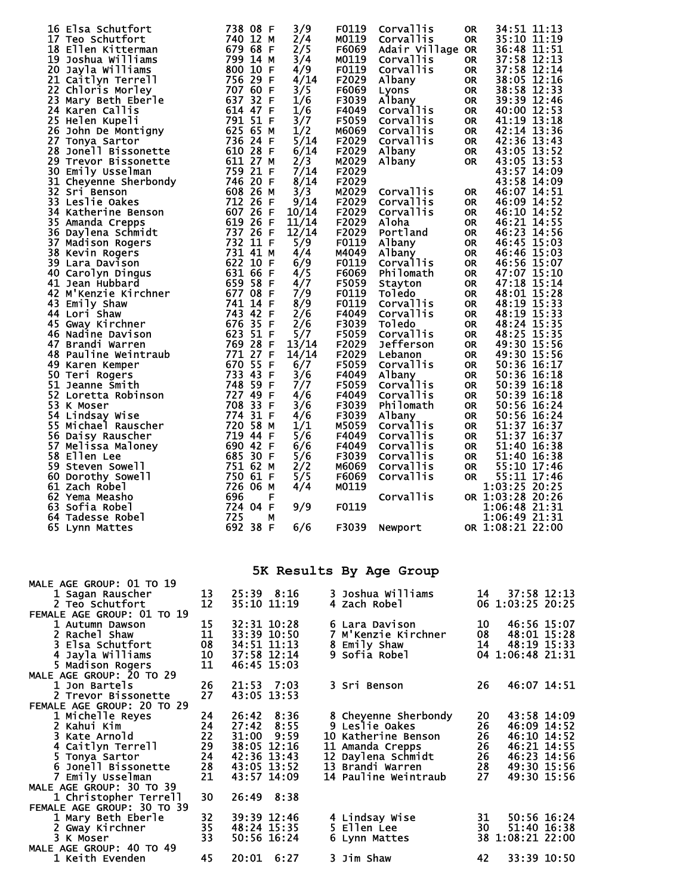| 16 Elsa Schutfort<br>17 Teo Schutfort<br>18 Ellen Kitterman<br>19 Joshua Williams<br>20 Jayla Williams<br>21 Caitlyn Terrell<br>22 Chloris Morley<br>23 Mary Beth Eberle<br>24 Karen Callis<br>25 Helen Kupeli<br>25 Helen Kupeli<br>26 John De Montigny<br>27 Tonya Sartor<br>27 Tonya Sartor<br>28 Jonell Bissonette<br>29 Trevor Bissonette<br>29 Trevor Bissonette<br>29 Trevor<br>28 Jone Philosomette<br>30 Emily Usselman 759 21 F<br>31 Cheyenne Sherbondy 746 20 F<br>32 Sri Benson 608 26 M<br>33 Leslie Oakes 712 26 F<br>34 Katherine Benson 607 26 F<br>11 Cheyenne State 712 26 F<br>34 Katherine Benson<br>35 Amanda Crepps<br>36 Daylena Schmidt<br>36 Daylena Schmidt<br>37 Madison Rogers<br>38 Kevin Rogers<br>732 11 F<br>38 Kevin Rogers<br>732 11 F<br>732 11 F<br>732 11 F<br>732 11 F<br>732 11 F<br>732 11 F<br>731 41 M<br>40 Carolyn<br>44 Lori Shaw<br>45 Gway Kirchner<br>46 Nadine Davison<br>47 Brandi Warren<br>48 Pauline Weintraub<br>49 Karen Kemper<br>50 Teri Rogers<br>50 Teri Rogers<br>733 43 F<br>748 59 F<br>52 Loretta Robinson<br>53 K Moser<br>54 Lindsay Wise<br>55<br>Michael Rauscher<br>56<br>Daisy Rauscher<br>57 Melissa Maloney<br>58 Ellen Lee<br>59 Steven Sowell<br>60 Dorothy Sowell<br>61 Zach Robel<br>62 Yema Measho<br>63 Sofia Robel<br>64 Tadesse Robel<br>65 Lynn Mattes |                | 738 08 F<br>740 12 M<br>679 68 F<br>799 14 M<br>800 10 F<br>756 29 F<br>727 49 F<br>708 33 F<br>$774$ $31$ F<br>720 58 M<br>719 44 F<br>690 42 F<br>685 30 F<br>751 62 M<br>750 61 F<br>726 06 M<br>696<br>F<br>724 04 F<br>725<br>М<br>692 38 F | 3/9<br>2/4<br>2/5<br>3/4<br>4/9<br>4/14<br>3/5<br>1/6<br>1/6<br>3/7<br>1/2<br>5/14<br>6/14<br>2/3<br>7/14<br>8/14<br>3/3<br>9/14<br>10/14<br>11/14<br>12/14<br>5/9<br>4/4<br>6/9<br>4/5<br>4/7<br>7/9<br>8/9<br>2/6<br>2/6<br>5/7<br>13/14<br>14/14<br>6/7<br>3/6<br>7/7<br>4/6<br>3/6<br>4/6<br>1/1<br>5/6<br>6/6<br>5/6<br>2/2<br>5/5<br>4/4<br>9/9<br>6/6 | F0119<br>M0119<br>F6069<br>M0119<br>F0119<br>F2029<br>F6069<br>F3039<br>F4049<br>F5059<br>M6069<br>F2029<br>F2029<br>M2029<br>F2029<br>F2029<br>M2029<br>F2029<br>F2029<br>F2029<br>F2029<br>F0119<br>M4049<br>F0119<br>F6069<br>F5059<br>F0119<br>F0119<br>F4049<br>F3039<br>F5059<br>F2029<br>F2029<br>F5059<br>F4049<br>F5059<br>F4049<br>F3039<br>F3039<br>M5059<br>F4049<br>F4049<br>F3039<br>M6069<br>F6069<br>M0119<br>F0119 | Corvallis<br>Corvallis<br>Adair Village OR<br><b>Corvallis</b><br>Corvallis<br>Albany<br>Lyons<br>Albany<br>Corvallis<br>Corvallis<br><b>Corvallis</b><br><b>Corvallis</b><br>Albany<br>Albany<br><b>Corvallis</b><br>Corvallis<br>Corvallis<br>Aloha<br>Portland<br>Albany<br>Albany<br><b>Corvallis</b><br>Philomath<br>Stayton<br><b>Toledo</b><br>Corvallis<br><b>Corvallis</b><br><b>Toledo</b><br>Corvallis<br>Jefferson<br>Lebanon<br>Corvallis<br>Albany<br>Corvallis<br><b>Corvallis</b><br>Philomath<br>Albany<br>Corvallis<br>Corvallis<br><b>Corvallis</b><br>Corvallis<br><b>Corvallis</b><br>Corvallis<br>Corvallis<br>F3039 Newport | <b>OR</b><br><b>OR</b><br>OR.<br>OR .<br><b>OR</b><br><b>OR</b><br><b>OR</b><br><b>OR</b><br>OR .<br>OR .<br>OR .<br>OR .<br>OR.<br><b>OR</b><br>OR .<br>OR .<br>OR .<br>OR .<br>OR .<br><b>OR</b><br><b>OR</b><br><b>OR</b><br><b>OR</b><br><b>OR</b><br><b>OR</b><br><b>OR</b><br><b>OR</b><br><b>OR</b><br>OR .<br>OR .<br>OR .<br>OR .<br><b>OR</b><br><b>OR</b><br><b>OR</b><br><b>OR</b><br><b>OR</b><br><b>OR</b><br><b>OR</b><br><b>OR</b><br><b>OR</b><br>OR. | 34:51 11:13<br>35:10 11:19<br>36:48 11:51<br>37:58 12:13<br>37:58 12:14<br>38:05 12:16<br>38:58 12:33<br>39:39 12:46<br>40:00 12:53<br>41:19 13:18<br>42:14 13:36<br>42:36 13:43<br>43:05 13:52<br>43:05 13:53<br>43:57 14:09<br>43:58 14:09<br>46:07 14:51<br>46:09 14:52<br>46:10 14:52<br>46:21 14:55<br>46:23 14:56<br>46:45 15:03<br>46:46 15:03<br>46:56 15:07<br>47:07 15:10<br>47:18 15:14<br>48:01 15:28<br>48:19 15:33<br>48:19 15:33<br>48:24 15:35<br>48:25 15:35<br>49:30 15:56<br>49:30 15:56<br>50:36 16:17<br>50:36 16:18<br>50:39 16:18<br>50:39 16:18<br>50:56 16:24<br>50:56 16:24<br>51:37 16:37<br>51:37 16:37<br>51:40 16:38<br>51:40 16:38<br>55:10 17:46<br>55:11 17:46<br>1:03:25 20:25<br>OR 1:03:28 20:26<br>1:06:48 21:31<br>1:06:49 21:31<br>OR 1:08:21 22:00 |  |
|-----------------------------------------------------------------------------------------------------------------------------------------------------------------------------------------------------------------------------------------------------------------------------------------------------------------------------------------------------------------------------------------------------------------------------------------------------------------------------------------------------------------------------------------------------------------------------------------------------------------------------------------------------------------------------------------------------------------------------------------------------------------------------------------------------------------------------------------------------------------------------------------------------------------------------------------------------------------------------------------------------------------------------------------------------------------------------------------------------------------------------------------------------------------------------------------------------------------------------------------------------------------------------------------------------------------------------------------|----------------|--------------------------------------------------------------------------------------------------------------------------------------------------------------------------------------------------------------------------------------------------|--------------------------------------------------------------------------------------------------------------------------------------------------------------------------------------------------------------------------------------------------------------------------------------------------------------------------------------------------------------|-------------------------------------------------------------------------------------------------------------------------------------------------------------------------------------------------------------------------------------------------------------------------------------------------------------------------------------------------------------------------------------------------------------------------------------|----------------------------------------------------------------------------------------------------------------------------------------------------------------------------------------------------------------------------------------------------------------------------------------------------------------------------------------------------------------------------------------------------------------------------------------------------------------------------------------------------------------------------------------------------------------------------------------------------------------------------------------------------|------------------------------------------------------------------------------------------------------------------------------------------------------------------------------------------------------------------------------------------------------------------------------------------------------------------------------------------------------------------------------------------------------------------------------------------------------------------------|--------------------------------------------------------------------------------------------------------------------------------------------------------------------------------------------------------------------------------------------------------------------------------------------------------------------------------------------------------------------------------------------------------------------------------------------------------------------------------------------------------------------------------------------------------------------------------------------------------------------------------------------------------------------------------------------------------------------------------------------------------------------------------------------|--|
| <b>MALE AGE GROUP: 01 TO 19</b>                                                                                                                                                                                                                                                                                                                                                                                                                                                                                                                                                                                                                                                                                                                                                                                                                                                                                                                                                                                                                                                                                                                                                                                                                                                                                                         |                |                                                                                                                                                                                                                                                  |                                                                                                                                                                                                                                                                                                                                                              |                                                                                                                                                                                                                                                                                                                                                                                                                                     | 5K Results By Age Group                                                                                                                                                                                                                                                                                                                                                                                                                                                                                                                                                                                                                            |                                                                                                                                                                                                                                                                                                                                                                                                                                                                        |                                                                                                                                                                                                                                                                                                                                                                                                                                                                                                                                                                                                                                                                                                                                                                                            |  |
| 1 Sagan Rauscher<br>2 Teo Schutfort                                                                                                                                                                                                                                                                                                                                                                                                                                                                                                                                                                                                                                                                                                                                                                                                                                                                                                                                                                                                                                                                                                                                                                                                                                                                                                     | 13<br>12       | 25:39 8:16<br>35:10 11:19                                                                                                                                                                                                                        |                                                                                                                                                                                                                                                                                                                                                              | 4 Zach Robel                                                                                                                                                                                                                                                                                                                                                                                                                        | 3 Joshua Williams                                                                                                                                                                                                                                                                                                                                                                                                                                                                                                                                                                                                                                  | 14                                                                                                                                                                                                                                                                                                                                                                                                                                                                     | 37:58 12:13<br>06 1:03:25 20:25                                                                                                                                                                                                                                                                                                                                                                                                                                                                                                                                                                                                                                                                                                                                                            |  |
| <b>FEMALE AGE GROUP: 01 TO 19</b><br>l Autumn Dawson<br>2 Rachel Shaw                                                                                                                                                                                                                                                                                                                                                                                                                                                                                                                                                                                                                                                                                                                                                                                                                                                                                                                                                                                                                                                                                                                                                                                                                                                                   | 15<br>11       | 32:31 10:28<br>33:39 10:50                                                                                                                                                                                                                       |                                                                                                                                                                                                                                                                                                                                                              |                                                                                                                                                                                                                                                                                                                                                                                                                                     | 6 Lara Davison<br>7 M'Kenzie Kirchner                                                                                                                                                                                                                                                                                                                                                                                                                                                                                                                                                                                                              | 10<br>08                                                                                                                                                                                                                                                                                                                                                                                                                                                               | 46:56 15:07<br>48:01 15:28                                                                                                                                                                                                                                                                                                                                                                                                                                                                                                                                                                                                                                                                                                                                                                 |  |
| 3 Elsa Schutfort<br>4 Jayla Williams<br>5 Madison Rogers                                                                                                                                                                                                                                                                                                                                                                                                                                                                                                                                                                                                                                                                                                                                                                                                                                                                                                                                                                                                                                                                                                                                                                                                                                                                                | 08<br>10<br>11 | 34:51 11:13<br>37:58 12:14<br>46:45 15:03                                                                                                                                                                                                        |                                                                                                                                                                                                                                                                                                                                                              | 8 Emily Shaw<br>9 Sofia Robel                                                                                                                                                                                                                                                                                                                                                                                                       |                                                                                                                                                                                                                                                                                                                                                                                                                                                                                                                                                                                                                                                    | 14                                                                                                                                                                                                                                                                                                                                                                                                                                                                     | 48:19 15:33<br>04 1:06:48 21:31                                                                                                                                                                                                                                                                                                                                                                                                                                                                                                                                                                                                                                                                                                                                                            |  |
| <b>MALE AGE GROUP: 20 TO 29</b><br>1 Jon Bartels<br>2 Trevor Bissonette                                                                                                                                                                                                                                                                                                                                                                                                                                                                                                                                                                                                                                                                                                                                                                                                                                                                                                                                                                                                                                                                                                                                                                                                                                                                 | 26<br>27       | 21:53 7:03<br>43:05 13:53                                                                                                                                                                                                                        |                                                                                                                                                                                                                                                                                                                                                              | 3 Sri Benson                                                                                                                                                                                                                                                                                                                                                                                                                        |                                                                                                                                                                                                                                                                                                                                                                                                                                                                                                                                                                                                                                                    | 26                                                                                                                                                                                                                                                                                                                                                                                                                                                                     | 46:07 14:51                                                                                                                                                                                                                                                                                                                                                                                                                                                                                                                                                                                                                                                                                                                                                                                |  |
| FEMALE AGE GROUP: 20 TO 29<br>1 Michelle Reyes<br>2 Kahui Kim                                                                                                                                                                                                                                                                                                                                                                                                                                                                                                                                                                                                                                                                                                                                                                                                                                                                                                                                                                                                                                                                                                                                                                                                                                                                           | 24<br>24       | 26:42<br>27:42                                                                                                                                                                                                                                   | 8:36<br>8:55                                                                                                                                                                                                                                                                                                                                                 | 9 Leslie Oakes                                                                                                                                                                                                                                                                                                                                                                                                                      | 8 Cheyenne Sherbondy                                                                                                                                                                                                                                                                                                                                                                                                                                                                                                                                                                                                                               | 20<br>26                                                                                                                                                                                                                                                                                                                                                                                                                                                               | 43:58 14:09<br>46:09 14:52                                                                                                                                                                                                                                                                                                                                                                                                                                                                                                                                                                                                                                                                                                                                                                 |  |
| 3 Kate Arnold<br>4 Caitlyn Terrell                                                                                                                                                                                                                                                                                                                                                                                                                                                                                                                                                                                                                                                                                                                                                                                                                                                                                                                                                                                                                                                                                                                                                                                                                                                                                                      | 22<br>29       | 31:00<br>38:05 12:16                                                                                                                                                                                                                             | 9:59                                                                                                                                                                                                                                                                                                                                                         | 11 Amanda Crepps                                                                                                                                                                                                                                                                                                                                                                                                                    | 10 Katherine Benson                                                                                                                                                                                                                                                                                                                                                                                                                                                                                                                                                                                                                                | 26<br>26                                                                                                                                                                                                                                                                                                                                                                                                                                                               | 46:10 14:52<br>46:21 14:55                                                                                                                                                                                                                                                                                                                                                                                                                                                                                                                                                                                                                                                                                                                                                                 |  |
| 5 Tonya Sartor<br>6 Jonell Bissonette                                                                                                                                                                                                                                                                                                                                                                                                                                                                                                                                                                                                                                                                                                                                                                                                                                                                                                                                                                                                                                                                                                                                                                                                                                                                                                   | 24<br>28       | 42:36 13:43<br>43:05 13:52                                                                                                                                                                                                                       |                                                                                                                                                                                                                                                                                                                                                              | 13 Brandi Warren                                                                                                                                                                                                                                                                                                                                                                                                                    | 12 Daylena Schmidt                                                                                                                                                                                                                                                                                                                                                                                                                                                                                                                                                                                                                                 | 26<br>28                                                                                                                                                                                                                                                                                                                                                                                                                                                               | 46:23 14:56<br>49:30 15:56                                                                                                                                                                                                                                                                                                                                                                                                                                                                                                                                                                                                                                                                                                                                                                 |  |
| 7 Emily Usselman<br>MALE AGE GROUP: 30 TO 39                                                                                                                                                                                                                                                                                                                                                                                                                                                                                                                                                                                                                                                                                                                                                                                                                                                                                                                                                                                                                                                                                                                                                                                                                                                                                            | 21             | 43:57 14:09                                                                                                                                                                                                                                      |                                                                                                                                                                                                                                                                                                                                                              |                                                                                                                                                                                                                                                                                                                                                                                                                                     | 14 Pauline Weintraub                                                                                                                                                                                                                                                                                                                                                                                                                                                                                                                                                                                                                               | 27                                                                                                                                                                                                                                                                                                                                                                                                                                                                     | 49:30 15:56                                                                                                                                                                                                                                                                                                                                                                                                                                                                                                                                                                                                                                                                                                                                                                                |  |
| 1 Christopher Terrell<br>FEMALE AGE GROUP: 30 TO 39<br>1 Mary Beth Eberle                                                                                                                                                                                                                                                                                                                                                                                                                                                                                                                                                                                                                                                                                                                                                                                                                                                                                                                                                                                                                                                                                                                                                                                                                                                               | 30<br>32       | 26:49<br>39:39 12:46                                                                                                                                                                                                                             | 8:38                                                                                                                                                                                                                                                                                                                                                         |                                                                                                                                                                                                                                                                                                                                                                                                                                     | 4 Lindsay Wise                                                                                                                                                                                                                                                                                                                                                                                                                                                                                                                                                                                                                                     | 31                                                                                                                                                                                                                                                                                                                                                                                                                                                                     | 50:56 16:24                                                                                                                                                                                                                                                                                                                                                                                                                                                                                                                                                                                                                                                                                                                                                                                |  |
| 2 Gway Kirchner<br>3 K Moser<br><b>MALE AGE GROUP: 40 TO 49</b>                                                                                                                                                                                                                                                                                                                                                                                                                                                                                                                                                                                                                                                                                                                                                                                                                                                                                                                                                                                                                                                                                                                                                                                                                                                                         | 35<br>33       | 48:24 15:35<br>50:56 16:24                                                                                                                                                                                                                       |                                                                                                                                                                                                                                                                                                                                                              | 5 Ellen Lee<br>6 Lynn Mattes                                                                                                                                                                                                                                                                                                                                                                                                        |                                                                                                                                                                                                                                                                                                                                                                                                                                                                                                                                                                                                                                                    | 30                                                                                                                                                                                                                                                                                                                                                                                                                                                                     | 51:40 16:38<br>38 1:08:21 22:00                                                                                                                                                                                                                                                                                                                                                                                                                                                                                                                                                                                                                                                                                                                                                            |  |
| 1 Keith Evenden                                                                                                                                                                                                                                                                                                                                                                                                                                                                                                                                                                                                                                                                                                                                                                                                                                                                                                                                                                                                                                                                                                                                                                                                                                                                                                                         | 45             | 20:01 6:27                                                                                                                                                                                                                                       |                                                                                                                                                                                                                                                                                                                                                              | 3 Jim Shaw                                                                                                                                                                                                                                                                                                                                                                                                                          |                                                                                                                                                                                                                                                                                                                                                                                                                                                                                                                                                                                                                                                    | 42                                                                                                                                                                                                                                                                                                                                                                                                                                                                     | 33:39 10:50                                                                                                                                                                                                                                                                                                                                                                                                                                                                                                                                                                                                                                                                                                                                                                                |  |